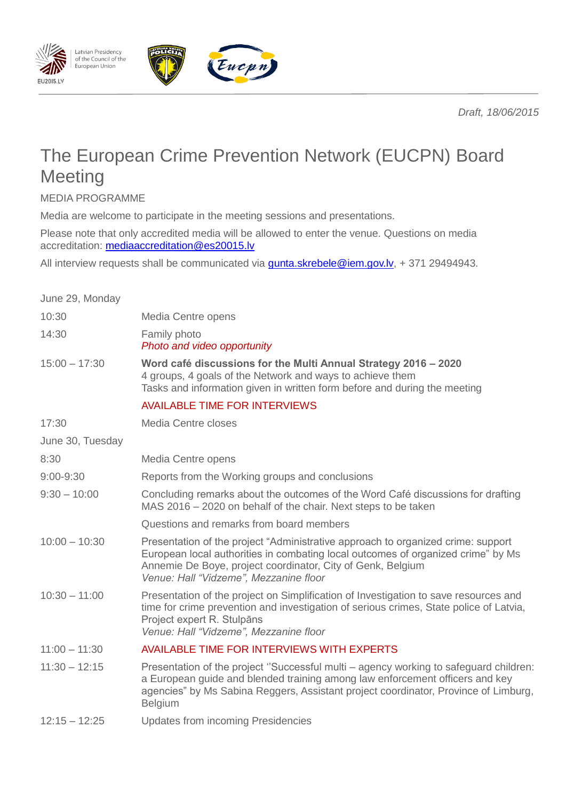*Draft, 18/06/2015*



Eucpn

MEDIA PROGRAMME

Latvian Presidency<br>of the Council of the

European Union

EU2015.LV

Media are welcome to participate in the meeting sessions and presentations.

Please note that only accredited media will be allowed to enter the venue. Questions on media accreditation: mediaaccreditation@es20015.lv

All interview requests shall be communicated via **gunta.skrebele@iem.gov.lv**, + 371 29494943.

| June 29, Monday  |                                                                                                                                                                                                                                                                                |
|------------------|--------------------------------------------------------------------------------------------------------------------------------------------------------------------------------------------------------------------------------------------------------------------------------|
| 10:30            | Media Centre opens                                                                                                                                                                                                                                                             |
| 14:30            | Family photo<br>Photo and video opportunity                                                                                                                                                                                                                                    |
| $15:00 - 17:30$  | Word café discussions for the Multi Annual Strategy 2016 - 2020<br>4 groups, 4 goals of the Network and ways to achieve them<br>Tasks and information given in written form before and during the meeting                                                                      |
|                  | <b>AVAILABLE TIME FOR INTERVIEWS</b>                                                                                                                                                                                                                                           |
| 17:30            | Media Centre closes                                                                                                                                                                                                                                                            |
| June 30, Tuesday |                                                                                                                                                                                                                                                                                |
| 8:30             | Media Centre opens                                                                                                                                                                                                                                                             |
| 9:00-9:30        | Reports from the Working groups and conclusions                                                                                                                                                                                                                                |
| $9:30 - 10:00$   | Concluding remarks about the outcomes of the Word Café discussions for drafting<br>MAS 2016 – 2020 on behalf of the chair. Next steps to be taken                                                                                                                              |
|                  | Questions and remarks from board members                                                                                                                                                                                                                                       |
| $10:00 - 10:30$  | Presentation of the project "Administrative approach to organized crime: support<br>European local authorities in combating local outcomes of organized crime" by Ms<br>Annemie De Boye, project coordinator, City of Genk, Belgium<br>Venue: Hall "Vidzeme", Mezzanine floor  |
| $10:30 - 11:00$  | Presentation of the project on Simplification of Investigation to save resources and<br>time for crime prevention and investigation of serious crimes, State police of Latvia,<br>Project expert R. Stulpāns<br>Venue: Hall "Vidzeme", Mezzanine floor                         |
| $11:00 - 11:30$  | AVAILABLE TIME FOR INTERVIEWS WITH EXPERTS                                                                                                                                                                                                                                     |
| $11:30 - 12:15$  | Presentation of the project "Successful multi - agency working to safeguard children:<br>a European guide and blended training among law enforcement officers and key<br>agencies" by Ms Sabina Reggers, Assistant project coordinator, Province of Limburg,<br><b>Belgium</b> |
| $12:15 - 12:25$  | <b>Updates from incoming Presidencies</b>                                                                                                                                                                                                                                      |